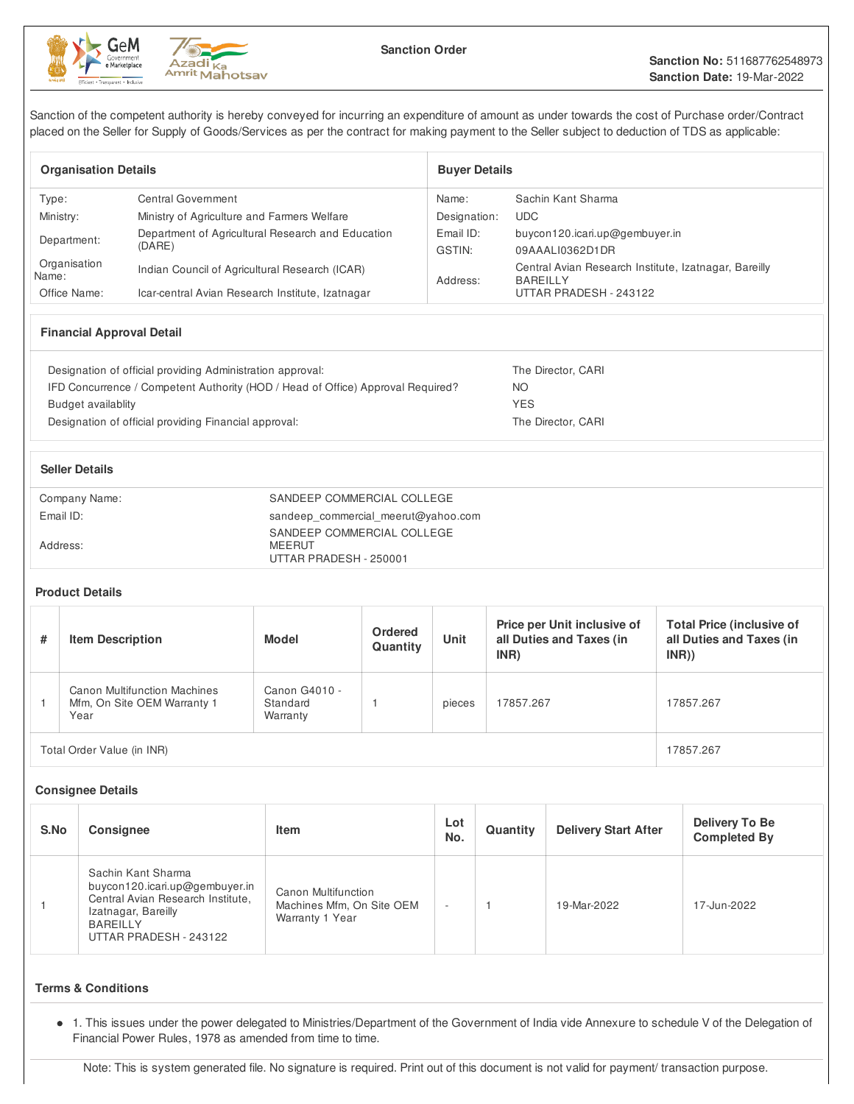



Sanction of the competent authority is hereby conveyed for incurring an expenditure of amount as under towards the cost of Purchase order/Contract placed on the Seller for Supply of Goods/Services as per the contract for making payment to the Seller subject to deduction of TDS as applicable:

| <b>Organisation Details</b> |                                                   | <b>Buver Details</b> |                                                                          |  |  |
|-----------------------------|---------------------------------------------------|----------------------|--------------------------------------------------------------------------|--|--|
| Type:                       | <b>Central Government</b>                         | Name:                | Sachin Kant Sharma                                                       |  |  |
| Ministry:                   | Ministry of Agriculture and Farmers Welfare       | Designation:         | UDC.                                                                     |  |  |
| Department:                 | Department of Agricultural Research and Education | Email ID:            | buycon120.icari.up@gembuyer.in                                           |  |  |
|                             | (DARE)                                            | GSTIN:               | 09AAALI0362D1DR                                                          |  |  |
| Organisation<br>Name:       | Indian Council of Agricultural Research (ICAR)    | Address:             | Central Avian Research Institute, Izatnagar, Bareilly<br><b>BAREILLY</b> |  |  |
| Office Name:                | Icar-central Avian Research Institute, Izatnagar  |                      | UTTAR PRADESH - 243122                                                   |  |  |

# **Financial Approval Detail**

| Designation of official providing Administration approval:<br>IFD Concurrence / Competent Authority (HOD / Head of Office) Approval Required? | The Director, CARI<br>NO. |
|-----------------------------------------------------------------------------------------------------------------------------------------------|---------------------------|
| Budget availablity                                                                                                                            | <b>YES</b>                |
| Designation of official providing Financial approval:                                                                                         | The Director, CARI        |

| <b>Seller Details</b> |                                                                       |
|-----------------------|-----------------------------------------------------------------------|
| Company Name:         | SANDEEP COMMERCIAL COLLEGE                                            |
| Email ID:             | sandeep_commercial_meerut@yahoo.com                                   |
| Address:              | SANDEEP COMMERCIAL COLLEGE<br><b>MEERUT</b><br>UTTAR PRADESH - 250001 |

#### **Product Details**

| # | <b>Item Description</b>                                                    | Model                                 | <b>Ordered</b><br>Quantity | Unit   | Price per Unit inclusive of<br>all Duties and Taxes (in<br>INR) | <b>Total Price (inclusive of</b><br>all Duties and Taxes (in<br>INR) |
|---|----------------------------------------------------------------------------|---------------------------------------|----------------------------|--------|-----------------------------------------------------------------|----------------------------------------------------------------------|
|   | <b>Canon Multifunction Machines</b><br>Mfm, On Site OEM Warranty 1<br>Year | Canon G4010 -<br>Standard<br>Warranty |                            | pieces | 17857.267                                                       | 17857.267                                                            |
|   | Total Order Value (in INR)                                                 |                                       |                            |        |                                                                 | 17857.267                                                            |

#### **Consignee Details**

| S.No | <b>Consignee</b>                                                                                                                                              | Item                                                                | Lot<br>No. | Quantity | <b>Delivery Start After</b> | Delivery To Be<br><b>Completed By</b> |
|------|---------------------------------------------------------------------------------------------------------------------------------------------------------------|---------------------------------------------------------------------|------------|----------|-----------------------------|---------------------------------------|
|      | Sachin Kant Sharma<br>buycon120.icari.up@gembuyer.in<br>Central Avian Research Institute,<br>Izatnagar, Bareilly<br><b>BAREILLY</b><br>UTTAR PRADESH - 243122 | Canon Multifunction<br>Machines Mfm, On Site OEM<br>Warranty 1 Year |            |          | 19-Mar-2022                 | 17-Jun-2022                           |

### **Terms & Conditions**

• 1. This issues under the power delegated to Ministries/Department of the Government of India vide Annexure to schedule V of the Delegation of Financial Power Rules, 1978 as amended from time to time.

Note: This is system generated file. No signature is required. Print out of this document is not valid for payment/ transaction purpose.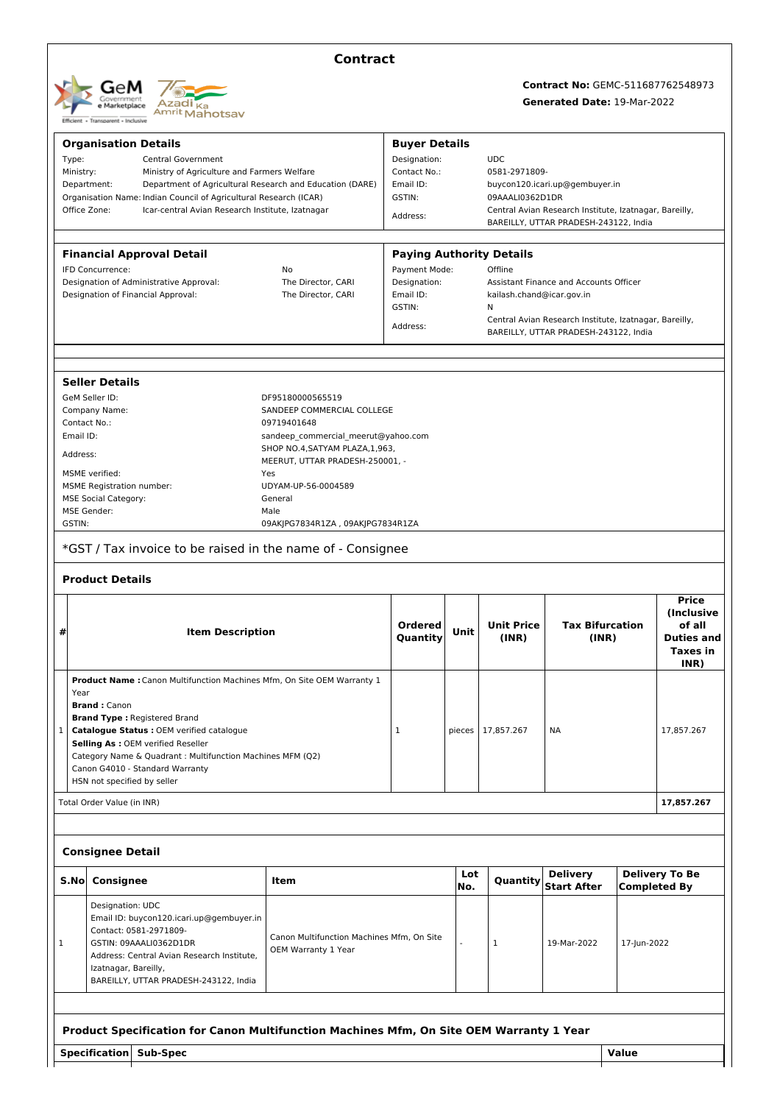

# **Contract**

# **Contract No:** GEMC-511687762548973

**Generated Date:** 19-Mar-2022

|                                                                                                                                                                                                                      | <b>Specification</b>                                                                                                                         | Sub-Spec                                                                                                                                                        |                                                                         |                                      |            |                                                                                                             |                                                                                                 | Value       |                                                                                      |
|----------------------------------------------------------------------------------------------------------------------------------------------------------------------------------------------------------------------|----------------------------------------------------------------------------------------------------------------------------------------------|-----------------------------------------------------------------------------------------------------------------------------------------------------------------|-------------------------------------------------------------------------|--------------------------------------|------------|-------------------------------------------------------------------------------------------------------------|-------------------------------------------------------------------------------------------------|-------------|--------------------------------------------------------------------------------------|
|                                                                                                                                                                                                                      |                                                                                                                                              | Product Specification for Canon Multifunction Machines Mfm, On Site OEM Warranty 1 Year                                                                         |                                                                         |                                      |            |                                                                                                             |                                                                                                 |             |                                                                                      |
|                                                                                                                                                                                                                      |                                                                                                                                              |                                                                                                                                                                 |                                                                         |                                      |            |                                                                                                             |                                                                                                 |             |                                                                                      |
| 1                                                                                                                                                                                                                    |                                                                                                                                              | Contact: 0581-2971809-<br>GSTIN: 09AAALI0362D1DR<br>Address: Central Avian Research Institute,<br>Izatnagar, Bareilly,<br>BAREILLY, UTTAR PRADESH-243122, India | Canon Multifunction Machines Mfm, On Site<br>OEM Warranty 1 Year        |                                      |            | 1                                                                                                           | 19-Mar-2022                                                                                     | 17-Jun-2022 |                                                                                      |
|                                                                                                                                                                                                                      |                                                                                                                                              | Designation: UDC<br>Email ID: buycon120.icari.up@gembuyer.in                                                                                                    |                                                                         |                                      |            |                                                                                                             |                                                                                                 |             |                                                                                      |
|                                                                                                                                                                                                                      | S.No<br>Consignee                                                                                                                            |                                                                                                                                                                 | Item                                                                    |                                      | Lot<br>No. | Quantity                                                                                                    | <b>Delivery</b><br><b>Start After</b>                                                           |             | <b>Delivery To Be</b><br><b>Completed By</b>                                         |
|                                                                                                                                                                                                                      | <b>Consignee Detail</b>                                                                                                                      |                                                                                                                                                                 |                                                                         |                                      |            |                                                                                                             |                                                                                                 |             |                                                                                      |
|                                                                                                                                                                                                                      |                                                                                                                                              |                                                                                                                                                                 |                                                                         |                                      |            |                                                                                                             |                                                                                                 |             |                                                                                      |
|                                                                                                                                                                                                                      | Total Order Value (in INR)                                                                                                                   |                                                                                                                                                                 |                                                                         |                                      |            |                                                                                                             |                                                                                                 |             | 17,857.267                                                                           |
| Catalogue Status : OEM verified catalogue<br>1<br>Selling As : OEM verified Reseller<br>Category Name & Quadrant : Multifunction Machines MFM (Q2)<br>Canon G4010 - Standard Warranty<br>HSN not specified by seller |                                                                                                                                              |                                                                                                                                                                 | 1                                                                       | pieces                               | 17,857.267 | ΝA                                                                                                          |                                                                                                 | 17,857.267  |                                                                                      |
|                                                                                                                                                                                                                      | Year<br><b>Brand: Canon</b>                                                                                                                  | Product Name : Canon Multifunction Machines Mfm, On Site OEM Warranty 1<br><b>Brand Type: Registered Brand</b>                                                  |                                                                         |                                      |            |                                                                                                             |                                                                                                 |             |                                                                                      |
| #                                                                                                                                                                                                                    |                                                                                                                                              | <b>Item Description</b>                                                                                                                                         |                                                                         | <b>Ordered</b><br>Quantity           | Unit       | <b>Unit Price</b><br>(INR)                                                                                  | <b>Tax Bifurcation</b><br>(INR)                                                                 |             | <b>Price</b><br>(Inclusive<br>of all<br><b>Duties and</b><br><b>Taxes in</b><br>INR) |
|                                                                                                                                                                                                                      | <b>Product Details</b>                                                                                                                       |                                                                                                                                                                 |                                                                         |                                      |            |                                                                                                             |                                                                                                 |             |                                                                                      |
|                                                                                                                                                                                                                      |                                                                                                                                              | *GST / Tax invoice to be raised in the name of - Consignee                                                                                                      |                                                                         |                                      |            |                                                                                                             |                                                                                                 |             |                                                                                      |
|                                                                                                                                                                                                                      | MSE Gender:<br>GSTIN:                                                                                                                        |                                                                                                                                                                 | Male<br>09AKJPG7834R1ZA, 09AKJPG7834R1ZA                                |                                      |            |                                                                                                             |                                                                                                 |             |                                                                                      |
|                                                                                                                                                                                                                      | <b>MSE Social Category:</b>                                                                                                                  | <b>MSME Registration number:</b>                                                                                                                                | UDYAM-UP-56-0004589<br>General                                          |                                      |            |                                                                                                             |                                                                                                 |             |                                                                                      |
|                                                                                                                                                                                                                      | Address:<br>MSME verified:                                                                                                                   |                                                                                                                                                                 | MEERUT, UTTAR PRADESH-250001, -<br>Yes                                  |                                      |            |                                                                                                             |                                                                                                 |             |                                                                                      |
|                                                                                                                                                                                                                      | Email ID:                                                                                                                                    |                                                                                                                                                                 | sandeep commercial meerut@yahoo.com<br>SHOP NO.4, SATYAM PLAZA, 1, 963, |                                      |            |                                                                                                             |                                                                                                 |             |                                                                                      |
|                                                                                                                                                                                                                      | GeM Seller ID:<br>Company Name:<br>Contact No.:                                                                                              |                                                                                                                                                                 | DF95180000565519<br>SANDEEP COMMERCIAL COLLEGE<br>09719401648           |                                      |            |                                                                                                             |                                                                                                 |             |                                                                                      |
|                                                                                                                                                                                                                      | <b>Seller Details</b>                                                                                                                        |                                                                                                                                                                 |                                                                         |                                      |            |                                                                                                             |                                                                                                 |             |                                                                                      |
|                                                                                                                                                                                                                      |                                                                                                                                              |                                                                                                                                                                 |                                                                         |                                      |            |                                                                                                             |                                                                                                 |             |                                                                                      |
|                                                                                                                                                                                                                      |                                                                                                                                              |                                                                                                                                                                 |                                                                         | GSTIN:<br>Address:                   |            | N                                                                                                           | Central Avian Research Institute, Izatnagar, Bareilly,<br>BAREILLY, UTTAR PRADESH-243122, India |             |                                                                                      |
|                                                                                                                                                                                                                      |                                                                                                                                              | Designation of Administrative Approval:<br>Designation of Financial Approval:                                                                                   | The Director, CARI<br>The Director, CARI                                | Designation:<br>Email ID:            |            | kailash.chand@icar.gov.in                                                                                   | Assistant Finance and Accounts Officer                                                          |             |                                                                                      |
|                                                                                                                                                                                                                      | IFD Concurrence:                                                                                                                             | <b>Financial Approval Detail</b>                                                                                                                                | No                                                                      | Payment Mode:                        |            | <b>Paying Authority Details</b><br>Offline                                                                  |                                                                                                 |             |                                                                                      |
|                                                                                                                                                                                                                      |                                                                                                                                              |                                                                                                                                                                 |                                                                         | Address:                             |            |                                                                                                             | BAREILLY, UTTAR PRADESH-243122, India                                                           |             |                                                                                      |
|                                                                                                                                                                                                                      | Organisation Name: Indian Council of Agricultural Research (ICAR)<br>Office Zone:<br>Icar-central Avian Research Institute, Izatnagar        |                                                                                                                                                                 |                                                                         | GSTIN:                               |            | buycon120.icari.up@gembuyer.in<br>09AAALI0362D1DR<br>Central Avian Research Institute, Izatnagar, Bareilly, |                                                                                                 |             |                                                                                      |
|                                                                                                                                                                                                                      | Type:<br>Ministry:<br>Ministry of Agriculture and Farmers Welfare<br>Department:<br>Department of Agricultural Research and Education (DARE) |                                                                                                                                                                 |                                                                         | Contact No.:<br>Email ID:            |            | 0581-2971809-                                                                                               |                                                                                                 |             |                                                                                      |
|                                                                                                                                                                                                                      |                                                                                                                                              | <b>Organisation Details</b><br>Central Government                                                                                                               |                                                                         | <b>Buyer Details</b><br>Designation: |            | <b>UDC</b>                                                                                                  |                                                                                                 |             |                                                                                      |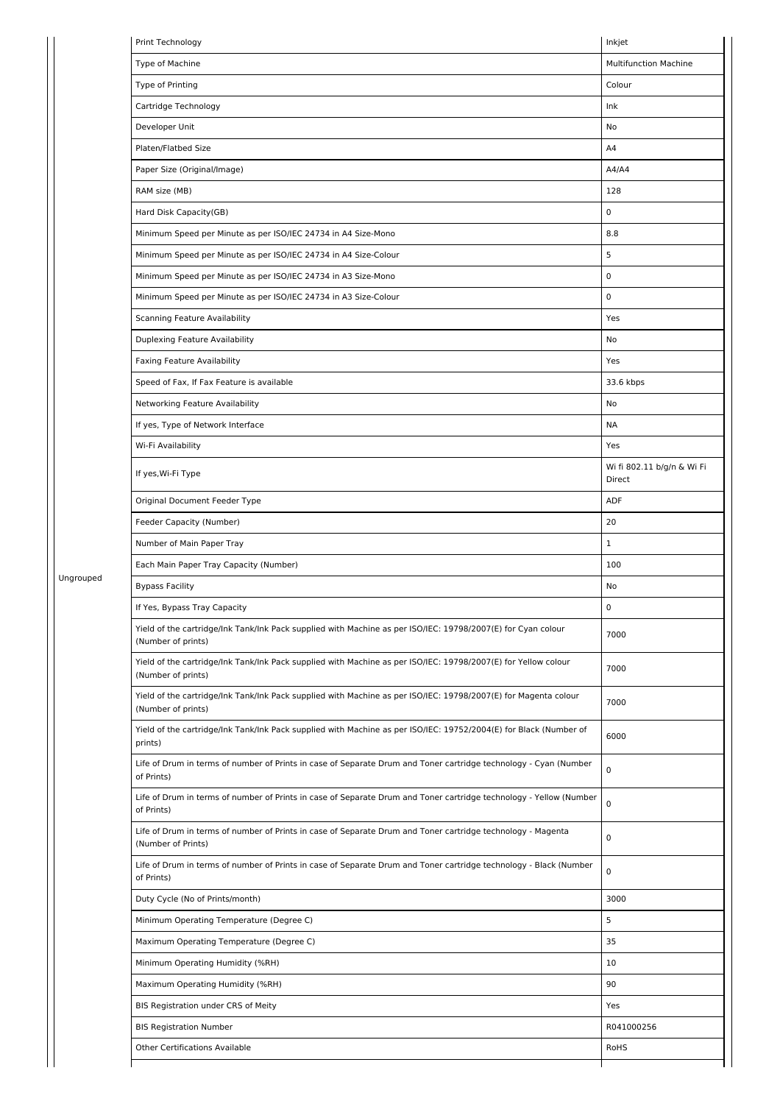|               | Print Technology                                                                                                                      | Inkjet                               |
|---------------|---------------------------------------------------------------------------------------------------------------------------------------|--------------------------------------|
|               | Type of Machine                                                                                                                       | <b>Multifunction Machine</b>         |
|               | Type of Printing                                                                                                                      | Colour                               |
|               | Cartridge Technology                                                                                                                  | Ink                                  |
|               | Developer Unit                                                                                                                        | No                                   |
|               | Platen/Flatbed Size                                                                                                                   | A4                                   |
|               | Paper Size (Original/Image)                                                                                                           | A4/A4                                |
| RAM size (MB) |                                                                                                                                       | 128                                  |
|               | Hard Disk Capacity(GB)                                                                                                                | 0                                    |
|               | Minimum Speed per Minute as per ISO/IEC 24734 in A4 Size-Mono                                                                         | 8.8                                  |
|               | Minimum Speed per Minute as per ISO/IEC 24734 in A4 Size-Colour                                                                       | 5                                    |
|               | Minimum Speed per Minute as per ISO/IEC 24734 in A3 Size-Mono                                                                         | $\mathsf 0$                          |
|               | Minimum Speed per Minute as per ISO/IEC 24734 in A3 Size-Colour                                                                       | 0                                    |
|               | Scanning Feature Availability                                                                                                         | Yes                                  |
|               | Duplexing Feature Availability                                                                                                        | No                                   |
|               | Faxing Feature Availability                                                                                                           | Yes                                  |
|               | Speed of Fax, If Fax Feature is available                                                                                             | 33.6 kbps                            |
|               | Networking Feature Availability                                                                                                       | No                                   |
|               | If yes, Type of Network Interface                                                                                                     | <b>NA</b>                            |
|               | Wi-Fi Availability                                                                                                                    | Yes                                  |
|               | If yes, Wi-Fi Type                                                                                                                    | Wi fi 802.11 b/g/n & Wi Fi<br>Direct |
|               | Original Document Feeder Type                                                                                                         | ADF                                  |
|               | Feeder Capacity (Number)                                                                                                              | 20                                   |
|               | Number of Main Paper Tray                                                                                                             | $\mathbf{1}$                         |
|               | Each Main Paper Tray Capacity (Number)                                                                                                | 100                                  |
| Ungrouped     | <b>Bypass Facility</b>                                                                                                                | No                                   |
|               | If Yes, Bypass Tray Capacity                                                                                                          | $\pmb{0}$                            |
|               | Yield of the cartridge/Ink Tank/Ink Pack supplied with Machine as per ISO/IEC: 19798/2007(E) for Cyan colour<br>(Number of prints)    | 7000                                 |
|               | Yield of the cartridge/Ink Tank/Ink Pack supplied with Machine as per ISO/IEC: 19798/2007(E) for Yellow colour<br>(Number of prints)  | 7000                                 |
|               | Yield of the cartridge/Ink Tank/Ink Pack supplied with Machine as per ISO/IEC: 19798/2007(E) for Magenta colour<br>(Number of prints) | 7000                                 |
|               | Yield of the cartridge/Ink Tank/Ink Pack supplied with Machine as per ISO/IEC: 19752/2004(E) for Black (Number of<br>prints)          | 6000                                 |
|               | Life of Drum in terms of number of Prints in case of Separate Drum and Toner cartridge technology - Cyan (Number<br>of Prints)        | $\pmb{0}$                            |
|               | Life of Drum in terms of number of Prints in case of Separate Drum and Toner cartridge technology - Yellow (Number<br>of Prints)      | $\mathbf 0$                          |
|               | Life of Drum in terms of number of Prints in case of Separate Drum and Toner cartridge technology - Magenta<br>(Number of Prints)     | 0                                    |
|               | Life of Drum in terms of number of Prints in case of Separate Drum and Toner cartridge technology - Black (Number<br>of Prints)       | 0                                    |
|               | Duty Cycle (No of Prints/month)                                                                                                       | 3000                                 |
|               | Minimum Operating Temperature (Degree C)                                                                                              | 5                                    |
|               | Maximum Operating Temperature (Degree C)                                                                                              | 35                                   |
|               | Minimum Operating Humidity (%RH)                                                                                                      | 10                                   |
|               | Maximum Operating Humidity (%RH)                                                                                                      | 90                                   |
|               | BIS Registration under CRS of Meity                                                                                                   | Yes                                  |
|               | <b>BIS Registration Number</b>                                                                                                        | R041000256                           |
|               | <b>Other Certifications Available</b>                                                                                                 | RoHS                                 |
|               |                                                                                                                                       |                                      |